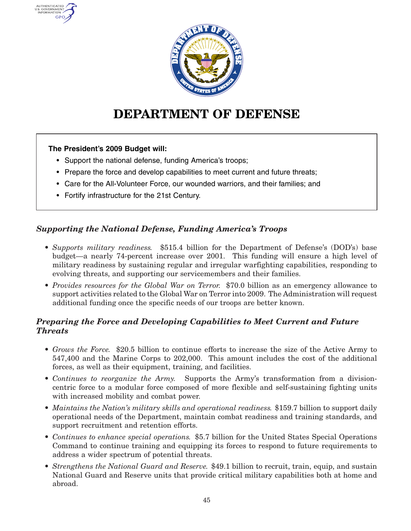

# **DEPARTMENT OF DEFENSE**

## **The President's 2009 Budget will:**

AUTHENTICATED U.S. GOVERNMENT **GPO** 

- Support the national defense, funding America's troops;
- Prepare the force and develop capabilities to meet current and future threats;
- Care for the All-Volunteer Force, our wounded warriors, and their families; and
- Fortify infrastructure for the 21st Century.

## *Supporting the National Defense, Funding America's Troops*

- *Supports military readiness.* \$515.4 billion for the Department of Defense's (DOD's) base budget—a nearly 74-percent increase over 2001. This funding will ensure <sup>a</sup> high level of military readiness by sustaining regular and irregular warfighting capabilities, responding to evolving threats, and supporting our servicemembers and their families.
- *Provides resources for the Global War on Terror.* \$70.0 billion as an emergency allowance to support activities related to the Global War on Terror into 2009. The Administration will request additional funding once the specific needs of our troops are better known.

## *Preparing the Force and Developing Capabilities to Meet Current and Future Threats*

- *Grows the Force.* \$20.5 billion to continue efforts to increase the size of the Active Army to 547,400 and the Marine Corps to 202,000. This amount includes the cost of the additional forces, as well as their equipment, training, and facilities.
- *Continues to reorganize the Army.* Supports the Army's transformation from <sup>a</sup> divisioncentric force to <sup>a</sup> modular force composed of more flexible and self-sustaining fighting units with increased mobility and combat power.
- *Maintains the Nation's military skills and operational readiness.* \$159.7 billion to support daily operational needs of the Department, maintain combat readiness and training standards, and support recruitment and retention efforts.
- *Continues to enhance special operations.* \$5.7 billion for the United States Special Operations Command to continue training and equipping its forces to respond to future requirements to address <sup>a</sup> wider spectrum of potential threats.
- *Strengthens the National Guard and Reserve.* \$49.1 billion to recruit, train, equip, and sustain National Guard and Reserve units that provide critical military capabilities both at home and abroad.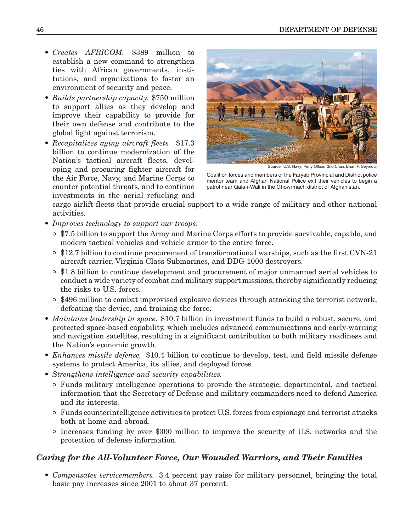- *Creates AFRICOM.* \$389 million to establish <sup>a</sup> new command to strengthen ties with African governments, institutions, and organizations to foster an environment of security and peace.
- *Builds partnership capacity.* \$750 million to support allies as they develop and improve their capability to provide for their own defense and contribute to the global fight against terrorism.
- *Recapitalizes aging aircraft fleets.* \$17.3 billion to continue modernization of the Nation's tactical aircraft fleets, developing and procuring fighter aircraft for the Air Force, Navy, and Marine Corps to counter potential threats, and to continue investments in the aerial refueling and



Source: U.S. Navy; Petty Officer 2nd Class Brian P. Seymour

Coalition forces and members of the Faryab Provincial and District police mentor team and Afghan National Police exit their vehicles to begin <sup>a</sup> patrol near Qala-i-Wali in the Ghowrmach district of Afghanistan.

cargo airlift fleets that provide crucial support to <sup>a</sup> wide range of military and other national activities.

- *Improves technology to support our troops.*
	- ° \$7.5 billion to support the Army and Marine Corps efforts to provide survivable, capable, and modern tactical vehicles and vehicle armor to the entire force.
	- ° \$12.7 billion to continue procurement of transformational warships, such as the first CVN-21 aircraft carrier, Virginia Class Submarines, and DDG-1000 destroyers.
	- ° \$1.8 billion to continue development and procurement of major unmanned aerial vehicles to conduct <sup>a</sup> wide variety of combat and military support missions, thereby significantly reducing the risks to U.S. forces.
	- ° \$496 million to combat improvised explosive devices through attacking the terrorist network, defeating the device, and training the force.
- *Maintains leadership in space*. \$10.7 billion in investment funds to build <sup>a</sup> robust, secure, and protected space-based capability, which includes advanced communications and early-warning and navigation satellites, resulting in <sup>a</sup> significant contribution to both military readiness and the Nation's economic growth.
- *Enhances missile defense.* \$10.4 billion to continue to develop, test, and field missile defense systems to protect America, its allies, and deployed forces.
- *Strengthens intelligence and security capabilities.*
	- ° Funds military intelligence operations to provide the strategic, departmental, and tactical information that the Secretary of Defense and military commanders need to defend America and its interests.
	- ° Funds counterintelligence activities to protect U.S. forces from espionage and terrorist attacks both at home and abroad.
	- ° Increases funding by over \$300 million to improve the security of U.S. networks and the protection of defense information.

## *Caring for the All-Volunteer Force, Our Wounded Warriors, and Their Families*

• *Compensates servicemembers.* 3.4 percent pay raise for military personnel, bringing the total basic pay increases since 2001 to about 37 percent.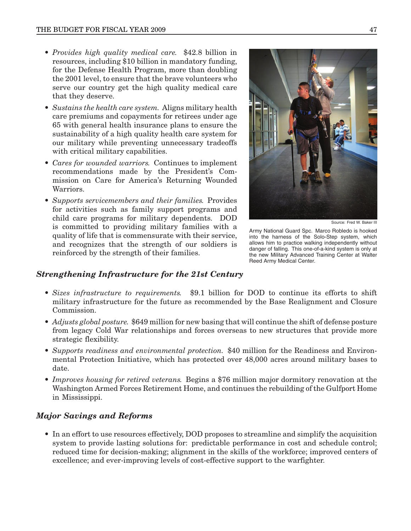- *Provides high quality medical care.* \$42.8 billion in resources, including \$10 billion in mandatory funding, for the Defense Health Program, more than doubling the 2001 level, to ensure that the brave volunteers who serve our country get the high quality medical care that they deserve.
- *Sustains the health care system.* Aligns military health care premiums and copayments for retirees under age 65 with general health insurance plans to ensure the sustainability of <sup>a</sup> high quality health care system for our military while preventing unnecessary tradeoffs with critical military capabilities.
- *Cares for wounded warriors.* Continues to implement recommendations made by the President's Commission on Care for America's Returning Wounded Warriors.
- *Supports servicemembers and their families.* Provides for activities such as family support programs and child care programs for military dependents. DOD is committed to providing military families with <sup>a</sup> quality of life that is commensurate with their service, and recognizes that the strength of our soldiers is reinforced by the strength of their families.



Army National Guard Spc. Marco Robledo is hooked into the harness of the Solo-Step system, which allows him to practice walking independently without danger of falling. This one-of-a-kind system is only at the new Military Advanced Training Center at Walter Reed Army Medical Center.

## *Strengthening Infrastructure for the 21st Century*

- *Sizes infrastructure to requirements.* \$9.1 billion for DOD to continue its efforts to shift military infrastructure for the future as recommended by the Base Realignment and Closure Commission.
- *Adjusts global posture.* \$649 million for new basing that will continue the shift of defense posture from legacy Cold War relationships and forces overseas to new structures that provide more strategic flexibility.
- *Supports readiness and environmental protection.* \$40 million for the Readiness and Environmental Protection Initiative, which has protected over 48,000 acres around military bases to date.
- *Improves housing for retired veterans.* Begins <sup>a</sup> \$76 million major dormitory renovation at the Washington Armed Forces Retirement Home, and continues the rebuilding of the Gulfport Home in Mississippi.

## *Major Savings and Reforms*

• In an effort to use resources effectively, DOD proposes to streamline and simplify the acquisition system to provide lasting solutions for: predictable performance in cost and schedule control; reduced time for decision-making; alignment in the skills of the workforce; improved centers of excellence; and ever-improving levels of cost-effective support to the warfighter.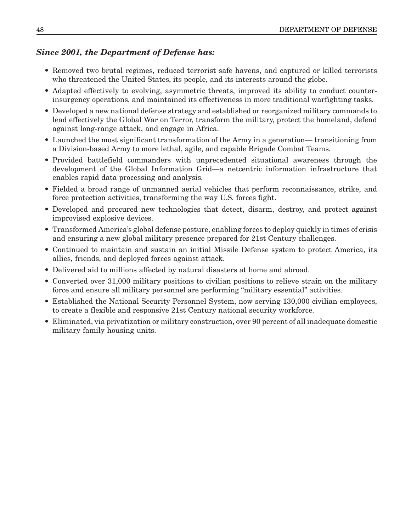## *Since 2001, the Department of Defense has:*

- Removed two brutal regimes, reduced terrorist safe havens, and captured or killed terrorists who threatened the United States, its people, and its interests around the globe.
- Adapted effectively to evolving, asymmetric threats, improved its ability to conduct counterinsurgency operations, and maintained its effectiveness in more traditional warfighting tasks.
- Developed <sup>a</sup> new national defense strategy and established or reorganized military commands to lead effectively the Global War on Terror, transform the military, protect the homeland, defend against long-range attack, and engage in Africa.
- Launched the most significant transformation of the Army in <sup>a</sup> generation— transitioning from <sup>a</sup> Division-based Army to more lethal, agile, and capable Brigade Combat Teams.
- Provided battlefield commanders with unprecedented situational awareness through the development of the Global Information Grid—a netcentric information infrastructure that enables rapid data processing and analysis.
- Fielded <sup>a</sup> broad range of unmanned aerial vehicles that perform reconnaissance, strike, and force protection activities, transforming the way U.S. forces fight.
- Developed and procured new technologies that detect, disarm, destroy, and protect against improvised explosive devices.
- Transformed America's global defense posture, enabling forces to deploy quickly in times of crisis and ensuring <sup>a</sup> new global military presence prepared for 21st Century challenges.
- Continued to maintain and sustain an initial Missile Defense system to protect America, its allies, friends, and deployed forces against attack.
- Delivered aid to millions affected by natural disasters at home and abroad.
- Converted over 31,000 military positions to civilian positions to relieve strain on the military force and ensure all military personnel are performing "military essential" activities.
- Established the National Security Personnel System, now serving 130,000 civilian employees, to create <sup>a</sup> flexible and responsive 21st Century national security workforce.
- Eliminated, via privatization or military construction, over 90 percent of all inadequate domestic military family housing units.